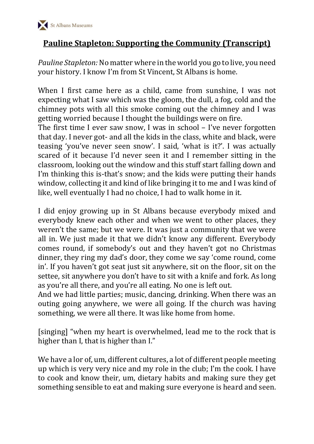

## **Pauline Stapleton: Supporting the Community (Transcript)**

*Pauline Stapleton:* No matter where in the world you go to live, you need your history. I know I'm from St Vincent, St Albans is home.

When I first came here as a child, came from sunshine, I was not expecting what I saw which was the gloom, the dull, a fog, cold and the chimney pots with all this smoke coming out the chimney and I was getting worried because I thought the buildings were on fire.

The first time I ever saw snow, I was in school – I've never forgotten that day. I never got- and all the kids in the class, white and black, were teasing 'you've never seen snow'. I said, 'what is it?'. I was actually scared of it because I'd never seen it and I remember sitting in the classroom, looking out the window and this stuff start falling down and I'm thinking this is-that's snow; and the kids were putting their hands window, collecting it and kind of like bringing it to me and I was kind of like, well eventually I had no choice, I had to walk home in it.

I did enjoy growing up in St Albans because everybody mixed and everybody knew each other and when we went to other places, they weren't the same; but we were. It was just a community that we were all in. We just made it that we didn't know any different. Everybody comes round, if somebody's out and they haven't got no Christmas dinner, they ring my dad's door, they come we say 'come round, come in'. If you haven't got seat just sit anywhere, sit on the floor, sit on the settee, sit anywhere you don't have to sit with a knife and fork. As long as you're all there, and you're all eating. No one is left out.

And we had little parties; music, dancing, drinking. When there was an outing going anywhere, we were all going. If the church was having something, we were all there. It was like home from home.

[singing] "when my heart is overwhelmed, lead me to the rock that is higher than I, that is higher than I."

We have a lor of, um, different cultures, a lot of different people meeting up which is very very nice and my role in the club; I'm the cook. I have to cook and know their, um, dietary habits and making sure they get something sensible to eat and making sure everyone is heard and seen.